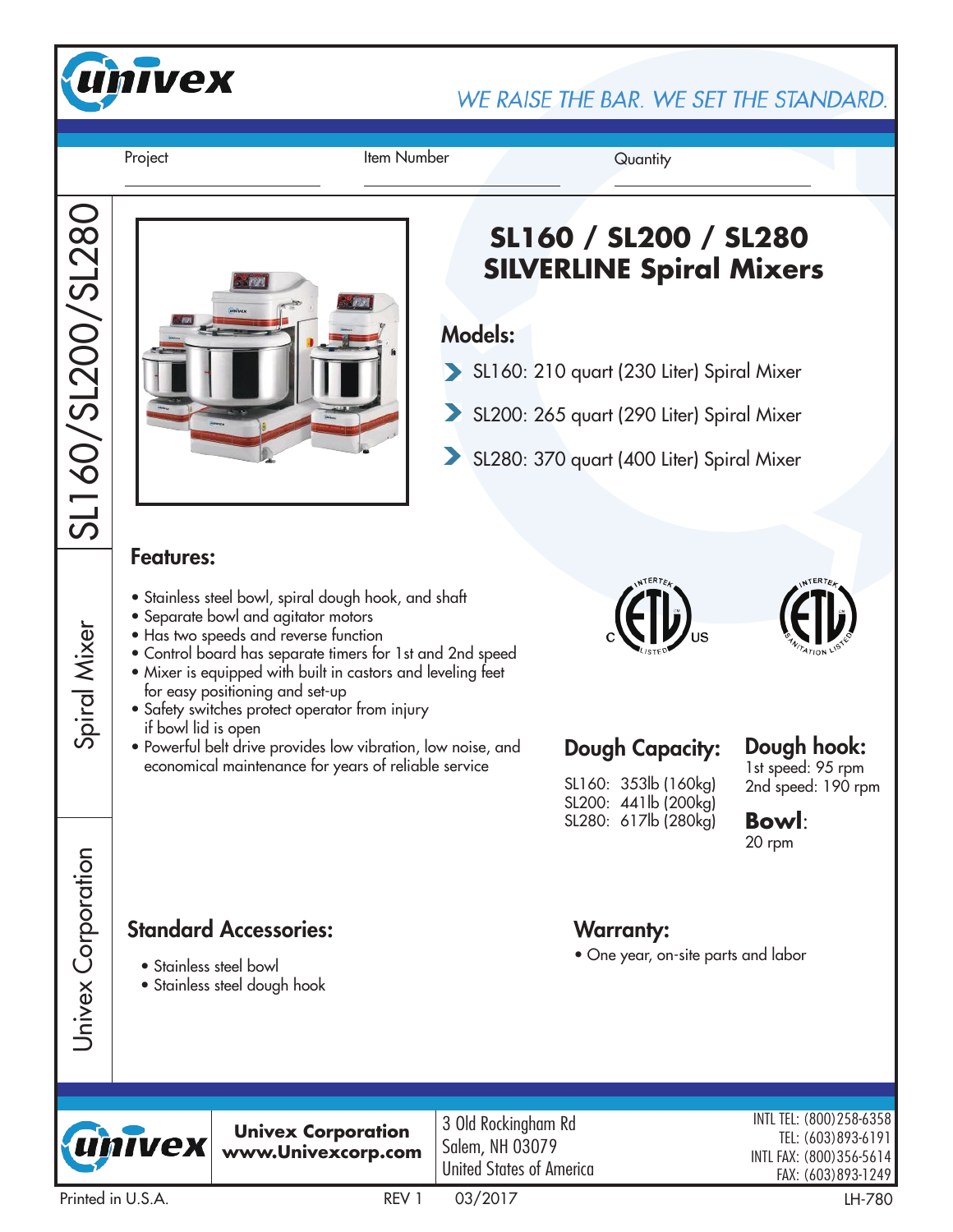

WE RAISE THE BAR. WE SET THE STANDARD.

Project **Item Number** Quantity

SL160/SL200/SL280

SL160/SL200/SL280

Spiral Mixer

Univex Corporation

Univex Corporation

## **SL160 / SL200 / SL280 SILVERLINE Spiral Mixers**

### Models:

- SL160: 210 quart (230 Liter) Spiral Mixer
- SL200: 265 quart (290 Liter) Spiral Mixer
- $\blacktriangleright$ SL280: 370 quart (400 Liter) Spiral Mixer

### Features:

- Stainless steel bowl, spiral dough hook, and shaft
- Separate bowl and agitator motors
- Has two speeds and reverse function
- Control board has separate timers for 1st and 2nd speed
- Mixer is equipped with built in castors and leveling feet for easy positioning and set-up
- Safety switches protect operator from injury if bowl lid is open
- Powerful belt drive provides low vibration, low noise, and Powerful belt drive provides low vibration, low noise, and Dough Capacity:<br>economical maintenance for years of reliable service





SL160: 353lb (160kg) SL200: 441lb (200kg) SL280: 617lb (280kg)

Warranty:

• One year, on-site parts and labor

#### Dough hook: 1st speed: 95 rpm

2nd speed: 190 rpm

**Bowl**: 20 rpm

## Standard Accessories:

- Stainless steel bowl
- Stainless steel dough hook



**Univex Corporation www.Univexcorp.com** 3 Old Rockingham Rd Salem, NH 03079 United States of America

INTL TEL: (800)258-6358 TEL: (603)893-6191 INTL FAX: (800)356-5614 FAX: (603)893-1249